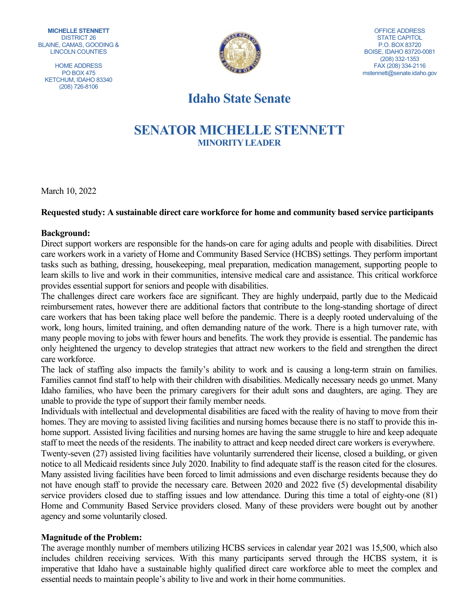**MICHELLE STENNETT** DISTRICT 26 BLAINE, CAMAS, GOODING & LINCOLN COUNTIES

HOME ADDRESS PO BOX 475 KETCHUM, IDAHO 83340 (208) 726-8106



OFFICE ADDRESS STATE CAPITOL P.O. BOX 83720 BOISE, IDAHO 83720-0081 (208) 332-1353 FAX (208) 334-2116 mstennett@senate.idaho.gov

# **Idaho State Senate**

# **SENATOR MICHELLE STENNETT MINORITY LEADER**

March 10, 2022

## **Requested study: A sustainable direct care workforce for home and community based service participants**

#### **Background:**

Direct support workers are responsible for the hands-on care for aging adults and people with disabilities. Direct care workers work in a variety of Home and Community Based Service (HCBS) settings. They perform important tasks such as bathing, dressing, housekeeping, meal preparation, medication management, supporting people to learn skills to live and work in their communities, intensive medical care and assistance. This critical workforce provides essential support for seniors and people with disabilities.

The challenges direct care workers face are significant. They are highly underpaid, partly due to the Medicaid reimbursement rates, however there are additional factors that contribute to the long-standing shortage of direct care workers that has been taking place well before the pandemic. There is a deeply rooted undervaluing of the work, long hours, limited training, and often demanding nature of the work. There is a high turnover rate, with many people moving to jobs with fewer hours and benefits. The work they provide is essential. The pandemic has only heightened the urgency to develop strategies that attract new workers to the field and strengthen the direct care workforce.

The lack of staffing also impacts the family's ability to work and is causing a long-term strain on families. Families cannot find staff to help with their children with disabilities. Medically necessary needs go unmet. Many Idaho families, who have been the primary caregivers for their adult sons and daughters, are aging. They are unable to provide the type of support their family member needs.

Individuals with intellectual and developmental disabilities are faced with the reality of having to move from their homes. They are moving to assisted living facilities and nursing homes because there is no staff to provide this inhome support. Assisted living facilities and nursing homes are having the same struggle to hire and keep adequate staff to meet the needs of the residents. The inability to attract and keep needed direct care workers is everywhere. Twenty-seven (27) assisted living facilities have voluntarily surrendered their license, closed a building, or given notice to all Medicaid residents since July 2020. Inability to find adequate staff is the reason cited for the closures. Many assisted living facilities have been forced to limit admissions and even discharge residents because they do not have enough staff to provide the necessary care. Between 2020 and 2022 five (5) developmental disability service providers closed due to staffing issues and low attendance. During this time a total of eighty-one (81) Home and Community Based Service providers closed. Many of these providers were bought out by another agency and some voluntarily closed.

## **Magnitude of the Problem:**

The average monthly number of members utilizing HCBS services in calendar year 2021 was 15,500, which also includes children receiving services. With this many participants served through the HCBS system, it is imperative that Idaho have a sustainable highly qualified direct care workforce able to meet the complex and essential needs to maintain people's ability to live and work in their home communities.